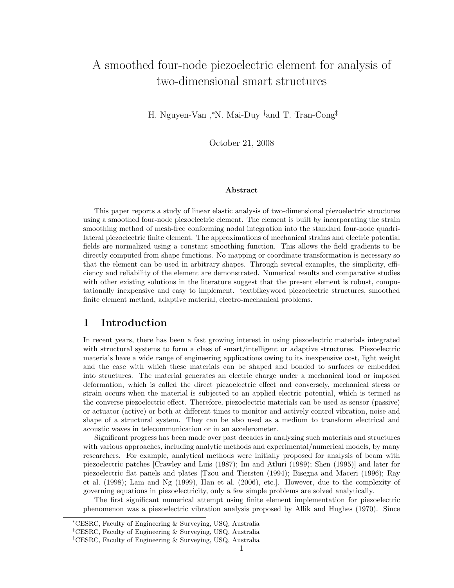# A smoothed four-node piezoelectric element for analysis of two-dimensional smart structures

H. Nguyen-Van ,<sup>∗</sup>N. Mai-Duy †and T. Tran-Cong‡

October 21, 2008

#### Abstract

This paper reports a study of linear elastic analysis of two-dimensional piezoelectric structures using a smoothed four-node piezoelectric element. The element is built by incorporating the strain smoothing method of mesh-free conforming nodal integration into the standard four-node quadrilateral piezoelectric finite element. The approximations of mechanical strains and electric potential fields are normalized using a constant smoothing function. This allows the field gradients to be directly computed from shape functions. No mapping or coordinate transformation is necessary so that the element can be used in arbitrary shapes. Through several examples, the simplicity, efficiency and reliability of the element are demonstrated. Numerical results and comparative studies with other existing solutions in the literature suggest that the present element is robust, computationally inexpensive and easy to implement. textbfkeyword piezoelectric structures, smoothed finite element method, adaptive material, electro-mechanical problems.

## 1 Introduction

In recent years, there has been a fast growing interest in using piezoelectric materials integrated with structural systems to form a class of smart/intelligent or adaptive structures. Piezoelectric materials have a wide range of engineering applications owing to its inexpensive cost, light weight and the ease with which these materials can be shaped and bonded to surfaces or embedded into structures. The material generates an electric charge under a mechanical load or imposed deformation, which is called the direct piezoelectric effect and conversely, mechanical stress or strain occurs when the material is subjected to an applied electric potential, which is termed as the converse piezoelectric effect. Therefore, piezoelectric materials can be used as sensor (passive) or actuator (active) or both at different times to monitor and actively control vibration, noise and shape of a structural system. They can be also used as a medium to transform electrical and acoustic waves in telecommunication or in an accelerometer.

Significant progress has been made over past decades in analyzing such materials and structures with various approaches, including analytic methods and experimental/numerical models, by many researchers. For example, analytical methods were initially proposed for analysis of beam with piezoelectric patches [Crawley and Luis (1987); Im and Atluri (1989); Shen (1995)] and later for piezoelectric flat panels and plates [Tzou and Tiersten (1994); Bisegna and Maceri (1996); Ray et al. (1998); Lam and Ng (1999), Han et al. (2006), etc.]. However, due to the complexity of governing equations in piezoelectricity, only a few simple problems are solved analytically.

The first significant numerical attempt using finite element implementation for piezoelectric phenomenon was a piezoelectric vibration analysis proposed by Allik and Hughes (1970). Since

<sup>∗</sup>CESRC, Faculty of Engineering & Surveying, USQ, Australia

<sup>†</sup>CESRC, Faculty of Engineering & Surveying, USQ, Australia

<sup>‡</sup>CESRC, Faculty of Engineering & Surveying, USQ, Australia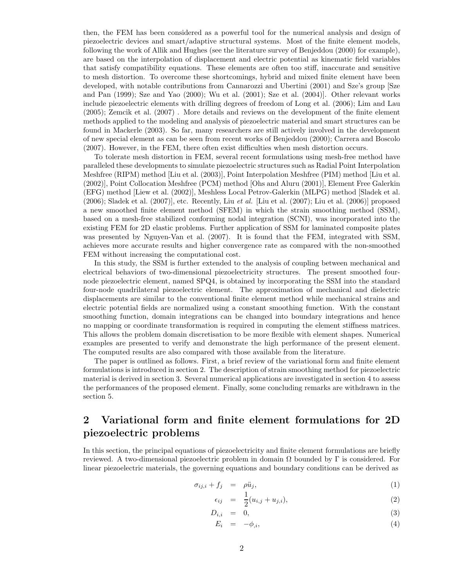then, the FEM has been considered as a powerful tool for the numerical analysis and design of piezoelectric devices and smart/adaptive structural systems. Most of the finite element models, following the work of Allik and Hughes (see the literature survey of Benjeddou (2000) for example), are based on the interpolation of displacement and electric potential as kinematic field variables that satisfy compatibility equations. These elements are often too stiff, inaccurate and sensitive to mesh distortion. To overcome these shortcomings, hybrid and mixed finite element have been developed, with notable contributions from Cannarozzi and Ubertini (2001) and Sze's group [Sze and Pan (1999); Sze and Yao (2000); Wu et al. (2001); Sze et al. (2004)]. Other relevant works include piezoelectric elements with drilling degrees of freedom of Long et al. (2006); Lim and Lau (2005); Zemcik et al. (2007) . More details and reviews on the development of the finite element methods applied to the modeling and analysis of piezoelectric material and smart structures can be found in Mackerle (2003). So far, many researchers are still actively involved in the development of new special element as can be seen from recent works of Benjeddou (2000); Carrera and Boscolo (2007). However, in the FEM, there often exist difficulties when mesh distortion occurs.

To tolerate mesh distortion in FEM, several recent formulations using mesh-free method have paralleled these developments to simulate piezoelectric structures such as Radial Point Interpolation Meshfree (RIPM) method [Liu et al. (2003)], Point Interpolation Meshfree (PIM) method [Liu et al. (2002)], Point Collocation Meshfree (PCM) method [Ohs and Aluru (2001)], Element Free Galerkin (EFG) method [Liew et al. (2002)], Meshless Local Petrov-Galerkin (MLPG) method [Sladek et al.  $(2006)$ ; Sladek et al.  $(2007)$ , etc. Recently, Liu *et al.* [Liu et al.  $(2007)$ ; Liu et al.  $(2006)$ ] proposed a new smoothed finite element method (SFEM) in which the strain smoothing method (SSM), based on a mesh-free stabilized conforming nodal integration (SCNI), was incorporated into the existing FEM for 2D elastic problems. Further application of SSM for laminated composite plates was presented by Nguyen-Van et al. (2007). It is found that the FEM, integrated with SSM, achieves more accurate results and higher convergence rate as compared with the non-smoothed FEM without increasing the computational cost.

In this study, the SSM is further extended to the analysis of coupling between mechanical and electrical behaviors of two-dimensional piezoelectricity structures. The present smoothed fournode piezoelectric element, named SPQ4, is obtained by incorporating the SSM into the standard four-node quadrilateral piezoelectric element. The approximation of mechanical and dielectric displacements are similar to the conventional finite element method while mechanical strains and electric potential fields are normalized using a constant smoothing function. With the constant smoothing function, domain integrations can be changed into boundary integrations and hence no mapping or coordinate transformation is required in computing the element stiffness matrices. This allows the problem domain discretisation to be more flexible with element shapes. Numerical examples are presented to verify and demonstrate the high performance of the present element. The computed results are also compared with those available from the literature.

The paper is outlined as follows. First, a brief review of the variational form and finite element formulations is introduced in section 2. The description of strain smoothing method for piezoelectric material is derived in section 3. Several numerical applications are investigated in section 4 to assess the performances of the proposed element. Finally, some concluding remarks are withdrawn in the section 5.

## 2 Variational form and finite element formulations for 2D piezoelectric problems

In this section, the principal equations of piezoelectricity and finite element formulations are briefly reviewed. A two-dimensional piezoelectric problem in domain Ω bounded by Γ is considered. For linear piezoelectric materials, the governing equations and boundary conditions can be derived as

$$
\sigma_{ij,i} + f_j = \rho \ddot{u}_j,\tag{1}
$$

$$
\epsilon_{ij} = \frac{1}{2}(u_{i,j} + u_{j,i}), \qquad (2)
$$

$$
D_{i,i} = 0, \t\t(3)
$$

$$
E_i = -\phi_{,i}, \tag{4}
$$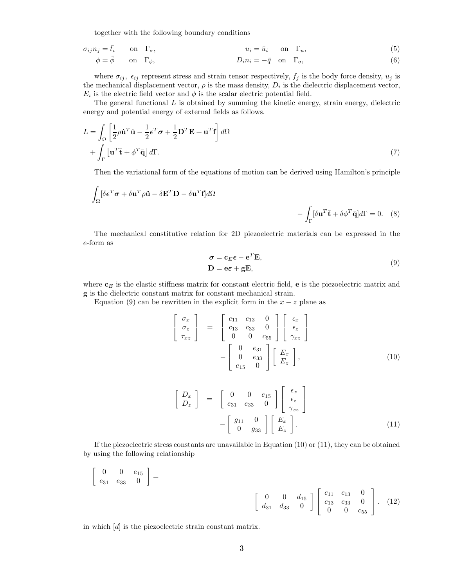together with the following boundary conditions

$$
\sigma_{ij} n_j = \bar{t}_i \qquad \text{on} \quad \Gamma_{\sigma}, \qquad \qquad u_i = \bar{u}_i \qquad \text{on} \quad \Gamma_u, \tag{5}
$$

$$
\phi = \bar{\phi} \qquad \text{on} \quad \Gamma_{\phi}, \tag{6}
$$

where  $\sigma_{ij}$ ,  $\epsilon_{ij}$  represent stress and strain tensor respectively,  $f_j$  is the body force density,  $u_j$  is the mechanical displacement vector,  $\rho$  is the mass density,  $D_i$  is the dielectric displacement vector,  $E_i$  is the electric field vector and  $\phi$  is the scalar electric potential field.

The general functional  $L$  is obtained by summing the kinetic energy, strain energy, dielectric energy and potential energy of external fields as follows.

$$
L = \int_{\Omega} \left[ \frac{1}{2} \rho \dot{\mathbf{u}}^T \dot{\mathbf{u}} - \frac{1}{2} \boldsymbol{\epsilon}^T \boldsymbol{\sigma} + \frac{1}{2} \mathbf{D}^T \mathbf{E} + \mathbf{u}^T \mathbf{f} \right] d\Omega
$$
  
+ 
$$
\int_{\Gamma} \left[ \mathbf{u}^T \bar{\mathbf{t}} + \phi^T \bar{\mathbf{q}} \right] d\Gamma.
$$
 (7)

Then the variational form of the equations of motion can be derived using Hamilton's principle

$$
\int_{\Omega} [\delta \epsilon^T \boldsymbol{\sigma} + \delta \mathbf{u}^T \rho \ddot{\mathbf{u}} - \delta \mathbf{E}^T \mathbf{D} - \delta \mathbf{u}^T \mathbf{f}] d\Omega
$$
\n
$$
- \int_{\Gamma} [\delta \mathbf{u}^T \bar{\mathbf{t}} + \delta \phi^T \bar{\mathbf{q}}] d\Gamma = 0. \quad (8)
$$

The mechanical constitutive relation for 2D piezoelectric materials can be expressed in the e-form as

$$
\sigma = \mathbf{c}_E \boldsymbol{\epsilon} - \mathbf{e}^T \mathbf{E},
$$
  
\n
$$
\mathbf{D} = \mathbf{e}\boldsymbol{\epsilon} + \mathbf{g}\mathbf{E},
$$
\n(9)

where  $\mathbf{c}_E$  is the elastic stiffness matrix for constant electric field,  $\mathbf{e}$  is the piezoelectric matrix and g is the dielectric constant matrix for constant mechanical strain.

Equation (9) can be rewritten in the explicit form in the  $x - z$  plane as

$$
\begin{bmatrix}\n\sigma_x \\
\sigma_z \\
\tau_{xz}\n\end{bmatrix} = \begin{bmatrix}\nc_{11} & c_{13} & 0 \\
c_{13} & c_{33} & 0 \\
0 & 0 & c_{55}\n\end{bmatrix} \begin{bmatrix}\n\epsilon_x \\
\epsilon_z \\
\gamma_{xz}\n\end{bmatrix} - \begin{bmatrix}\n0 & e_{31} \\
0 & e_{33} \\
e_{15} & 0\n\end{bmatrix} \begin{bmatrix}\nE_x \\
E_z\n\end{bmatrix},
$$
\n(10)

$$
\begin{bmatrix}\nD_x \\
D_z\n\end{bmatrix} = \begin{bmatrix}\n0 & 0 & e_{15} \\
e_{31} & e_{33} & 0\n\end{bmatrix} \begin{bmatrix}\n\epsilon_x \\
\epsilon_z \\
\gamma_{xz}\n\end{bmatrix} - \begin{bmatrix}\ng_{11} & 0 \\
0 & g_{33}\n\end{bmatrix} \begin{bmatrix}\nE_x \\
E_z\n\end{bmatrix}.
$$
\n(11)

If the piezoelectric stress constants are unavailable in Equation (10) or (11), they can be obtained by using the following relationship

$$
\begin{bmatrix} 0 & 0 & e_{15} \\ e_{31} & e_{33} & 0 \end{bmatrix} = \begin{bmatrix} 0 & 0 & d_{15} \\ d_{31} & d_{33} & 0 \end{bmatrix} \begin{bmatrix} c_{11} & c_{13} & 0 \\ c_{13} & c_{33} & 0 \\ 0 & 0 & c_{55} \end{bmatrix}.
$$
 (12)

in which [d] is the piezoelectric strain constant matrix.

f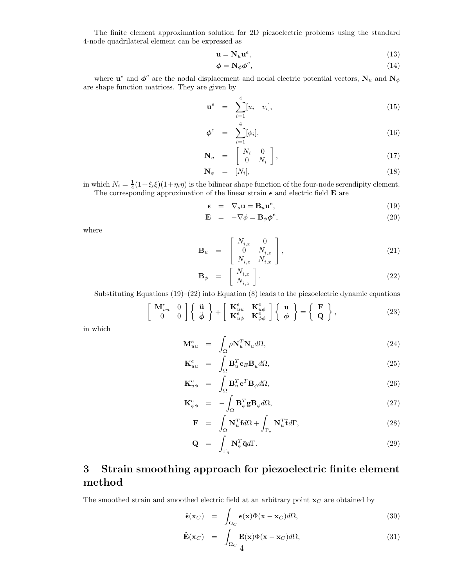The finite element approximation solution for 2D piezoelectric problems using the standard 4-node quadrilateral element can be expressed as

$$
\mathbf{u} = \mathbf{N}_u \mathbf{u}^e,\tag{13}
$$

$$
\phi = \mathbf{N}_{\phi} \phi^e,\tag{14}
$$

where  $\mathbf{u}^e$  and  $\boldsymbol{\phi}^e$  are the nodal displacement and nodal electric potential vectors,  $\mathbf{N}_u$  and  $\mathbf{N}_\phi$ are shape function matrices. They are given by

$$
\mathbf{u}^{e} = \sum_{i=1}^{4} [u_{i} \quad v_{i}], \tag{15}
$$

$$
\phi^e = \sum_{i=1}^4 [\phi_i], \tag{16}
$$

$$
\mathbf{N}_u = \begin{bmatrix} N_i & 0 \\ 0 & N_i \end{bmatrix}, \tag{17}
$$

$$
\mathbf{N}_{\phi} = [N_i], \tag{18}
$$

in which  $N_i = \frac{1}{4}(1+\xi_i\xi)(1+\eta_i\eta)$  is the bilinear shape function of the four-node serendipity element. The corresponding approximation of the linear strain  $\pmb{\epsilon}$  and electric field  $\mathbf E$  are

$$
\epsilon = \nabla_s \mathbf{u} = \mathbf{B}_u \mathbf{u}^e,\tag{19}
$$

$$
\mathbf{E} = -\nabla \phi = \mathbf{B}_{\phi} \phi^{e}, \qquad (20)
$$

where

$$
\mathbf{B}_u = \begin{bmatrix} N_{i,x} & 0 \\ 0 & N_{i,z} \\ N_{i,z} & N_{i,x} \end{bmatrix},
$$
\n(21)

$$
\mathbf{B}_{\phi} = \begin{bmatrix} N_{i,x} \\ N_{i,z} \end{bmatrix} . \tag{22}
$$

Substituting Equations (19)–(22) into Equation (8) leads to the piezoelectric dynamic equations

$$
\begin{bmatrix} \mathbf{M}_{uu}^e & 0 \\ 0 & 0 \end{bmatrix} \begin{Bmatrix} \ddot{\mathbf{u}} \\ \ddot{\boldsymbol{\phi}} \end{Bmatrix} + \begin{bmatrix} \mathbf{K}_{uu}^e & \mathbf{K}_{u\phi}^e \\ \mathbf{K}_{u\phi}^e & \mathbf{K}_{\phi\phi}^e \end{bmatrix} \begin{Bmatrix} \mathbf{u} \\ \boldsymbol{\phi} \end{Bmatrix} = \begin{Bmatrix} \mathbf{F} \\ \mathbf{Q} \end{Bmatrix},
$$
(23)

in which

$$
\mathbf{M}_{uu}^e = \int_{\Omega} \rho \mathbf{N}_u^T \mathbf{N}_u d\Omega, \tag{24}
$$

$$
\mathbf{K}_{uu}^e = \int_{\Omega} \mathbf{B}_u^T \mathbf{c}_E \mathbf{B}_u d\Omega, \tag{25}
$$

$$
\mathbf{K}^{e}_{u\phi} = \int_{\Omega} \mathbf{B}_{u}^{T} \mathbf{e}^{T} \mathbf{B}_{\phi} d\Omega, \qquad (26)
$$

$$
\mathbf{K}^e_{\phi\phi} = -\int_{\Omega} \mathbf{B}_{\phi}^T \mathbf{g} \mathbf{B}_{\phi} d\Omega, \qquad (27)
$$

$$
\mathbf{F} = \int_{\Omega} \mathbf{N}_u^T \mathbf{f} d\Omega + \int_{\Gamma_{\sigma}} \mathbf{N}_u^T \bar{\mathbf{t}} d\Gamma, \qquad (28)
$$

$$
\mathbf{Q} = \int_{\Gamma_q} \mathbf{N}_{\phi}^T \bar{\mathbf{q}} d\Gamma. \tag{29}
$$

## 3 Strain smoothing approach for piezoelectric finite element method

The smoothed strain and smoothed electric field at an arbitrary point  $x_C$  are obtained by

$$
\tilde{\epsilon}(\mathbf{x}_C) = \int_{\Omega_C} \epsilon(\mathbf{x}) \Phi(\mathbf{x} - \mathbf{x}_C) d\Omega, \tag{30}
$$

$$
\tilde{\mathbf{E}}(\mathbf{x}_C) = \int_{\Omega_C} \mathbf{E}(\mathbf{x}) \Phi(\mathbf{x} - \mathbf{x}_C) d\Omega,
$$
\n(31)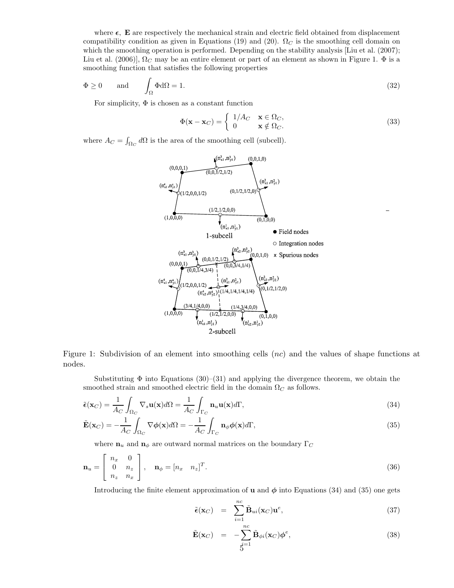where  $\epsilon$ , **E** are respectively the mechanical strain and electric field obtained from displacement compatibility condition as given in Equations (19) and (20).  $\Omega_C$  is the smoothing cell domain on which the smoothing operation is performed. Depending on the stability analysis [Liu et al. (2007); Liu et al. (2006)],  $\Omega_C$  may be an entire element or part of an element as shown in Figure 1.  $\Phi$  is a smoothing function that satisfies the following properties

$$
\Phi \ge 0 \quad \text{and} \quad \int_{\Omega} \Phi d\Omega = 1. \tag{32}
$$

For simplicity,  $\Phi$  is chosen as a constant function

$$
\Phi(\mathbf{x} - \mathbf{x}_C) = \begin{cases} 1/A_C & \mathbf{x} \in \Omega_C, \\ 0 & \mathbf{x} \notin \Omega_C. \end{cases}
$$
\n(33)

where  $A_C = \int_{\Omega_C} d\Omega$  is the area of the smoothing cell (subcell).





Substituting  $\Phi$  into Equations (30)–(31) and applying the divergence theorem, we obtain the smoothed strain and smoothed electric field in the domain  $\Omega_C$  as follows.

$$
\tilde{\epsilon}(\mathbf{x}_C) = \frac{1}{A_C} \int_{\Omega_C} \nabla_s \mathbf{u}(\mathbf{x}) d\Omega = \frac{1}{A_C} \int_{\Gamma_C} \mathbf{n}_u \mathbf{u}(\mathbf{x}) d\Gamma,
$$
\n(34)

$$
\tilde{\mathbf{E}}(\mathbf{x}_C) = -\frac{1}{A_C} \int_{\Omega_C} \nabla \phi(\mathbf{x}) d\Omega = -\frac{1}{A_C} \int_{\Gamma_C} \mathbf{n}_{\phi} \phi(\mathbf{x}) d\Gamma,
$$
\n(35)

where  $\mathbf{n}_u$  and  $\mathbf{n}_\phi$  are outward normal matrices on the boundary  $\Gamma_C$ 

$$
\mathbf{n}_u = \begin{bmatrix} n_x & 0 \\ 0 & n_z \\ n_z & n_x \end{bmatrix}, \quad \mathbf{n}_\phi = [n_x \quad n_z]^T.
$$
 (36)

Introducing the finite element approximation of **u** and  $\phi$  into Equations (34) and (35) one gets

$$
\tilde{\epsilon}(\mathbf{x}_C) = \sum_{i=1}^{nc} \tilde{\mathbf{B}}_{ui}(\mathbf{x}_C) \mathbf{u}^e,
$$
\n(37)

$$
\tilde{\mathbf{E}}(\mathbf{x}_C) = -\sum_{\substack{j=1\\0}}^{nc} \tilde{\mathbf{B}}_{\phi i}(\mathbf{x}_C) \phi^e, \qquad (38)
$$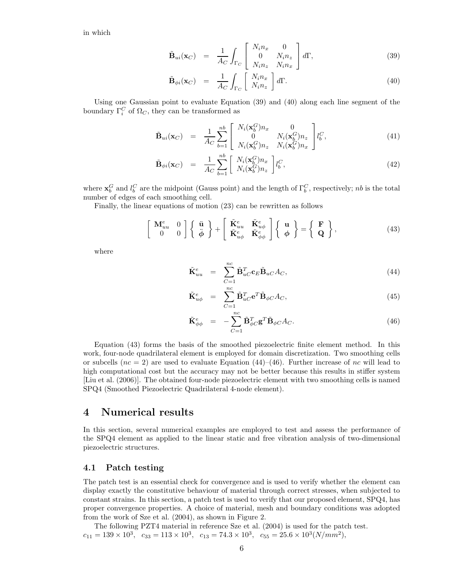in which

$$
\tilde{\mathbf{B}}_{ui}(\mathbf{x}_C) = \frac{1}{A_C} \int_{\Gamma_C} \begin{bmatrix} N_i n_x & 0 \\ 0 & N_i n_z \\ N_i n_z & N_i n_x \end{bmatrix} d\Gamma, \tag{39}
$$

$$
\tilde{\mathbf{B}}_{\phi i}(\mathbf{x}_C) = \frac{1}{A_C} \int_{\Gamma_C} \begin{bmatrix} N_i n_x \\ N_i n_z \end{bmatrix} d\Gamma.
$$
\n(40)

Using one Gaussian point to evaluate Equation (39) and (40) along each line segment of the boundary  $\Gamma_i^C$  of  $\Omega_C$ , they can be transformed as

$$
\tilde{\mathbf{B}}_{ui}(\mathbf{x}_C) = \frac{1}{A_C} \sum_{b=1}^{nb} \begin{bmatrix} N_i(\mathbf{x}_b^G) n_x & 0\\ 0 & N_i(\mathbf{x}_b^G) n_z\\ N_i(\mathbf{x}_b^G) n_z & N_i(\mathbf{x}_b^G) n_x \end{bmatrix} l_b^C,
$$
\n(41)

$$
\tilde{\mathbf{B}}_{\phi i}(\mathbf{x}_C) = \frac{1}{A_C} \sum_{b=1}^{nb} \left[ \begin{array}{c} N_i(\mathbf{x}_b^G) n_x \\ N_i(\mathbf{x}_b^G) n_z \end{array} \right] l_b^C, \tag{42}
$$

where  $\mathbf{x}_b^G$  and  $l_b^C$  are the midpoint (Gauss point) and the length of  $\Gamma_b^C$ , respectively; nb is the total number of edges of each smoothing cell.

Finally, the linear equations of motion (23) can be rewritten as follows

$$
\begin{bmatrix}\n\mathbf{M}_{uu}^{e} & 0 \\
0 & 0\n\end{bmatrix}\n\begin{Bmatrix}\n\ddot{\mathbf{u}} \\
\ddot{\phi}\n\end{Bmatrix} + \begin{bmatrix}\n\tilde{\mathbf{K}}_{uu}^{e} & \tilde{\mathbf{K}}_{u\phi}^{e} \\
\tilde{\mathbf{K}}_{u\phi}^{e} & \tilde{\mathbf{K}}_{\phi\phi}^{e}\n\end{bmatrix}\n\begin{Bmatrix}\n\mathbf{u} \\
\phi\n\end{Bmatrix} = \begin{Bmatrix}\n\mathbf{F} \\
\mathbf{Q}\n\end{Bmatrix},
$$
\n(43)

where

$$
\tilde{\mathbf{K}}_{uu}^e = \sum_{C=1}^{nc} \tilde{\mathbf{B}}_{uC}^T \mathbf{c}_E \tilde{\mathbf{B}}_{uC} A_C, \qquad (44)
$$

$$
\tilde{\mathbf{K}}^e_{u\phi} = \sum_{C=1}^{nc} \tilde{\mathbf{B}}^T_{uC} \mathbf{e}^T \tilde{\mathbf{B}}_{\phi C} A_C, \tag{45}
$$

$$
\tilde{\mathbf{K}}^e_{\phi\phi} = -\sum_{C=1}^{nc} \tilde{\mathbf{B}}^T_{\phi C} \mathbf{g}^T \tilde{\mathbf{B}}_{\phi C} A_C.
$$
\n(46)

Equation (43) forms the basis of the smoothed piezoelectric finite element method. In this work, four-node quadrilateral element is employed for domain discretization. Two smoothing cells or subcells ( $nc = 2$ ) are used to evaluate Equation (44)–(46). Further increase of nc will lead to high computational cost but the accuracy may not be better because this results in stiffer system [Liu et al. (2006)]. The obtained four-node piezoelectric element with two smoothing cells is named SPQ4 (Smoothed Piezoelectric Quadrilateral 4-node element).

## 4 Numerical results

In this section, several numerical examples are employed to test and assess the performance of the SPQ4 element as applied to the linear static and free vibration analysis of two-dimensional piezoelectric structures.

#### 4.1 Patch testing

The patch test is an essential check for convergence and is used to verify whether the element can display exactly the constitutive behaviour of material through correct stresses, when subjected to constant strains. In this section, a patch test is used to verify that our proposed element, SPQ4, has proper convergence properties. A choice of material, mesh and boundary conditions was adopted from the work of Sze et al. (2004), as shown in Figure 2.

The following PZT4 material in reference Sze et al. (2004) is used for the patch test.  $c_{11} = 139 \times 10^3$ ,  $c_{33} = 113 \times 10^3$ ,  $c_{13} = 74.3 \times 10^3$ ,  $c_{55} = 25.6 \times 10^3 (N/mm^2)$ ,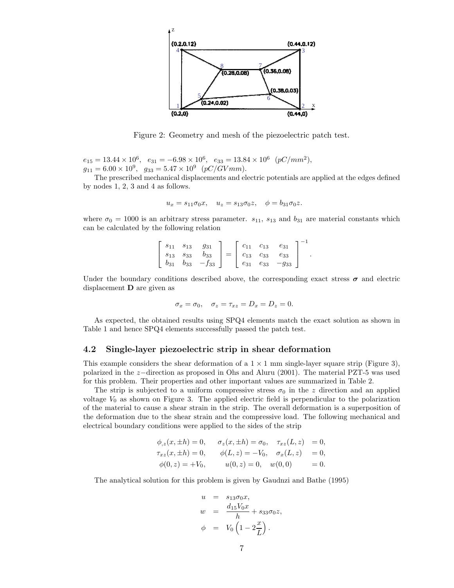

Figure 2: Geometry and mesh of the piezoelectric patch test.

 $e_{15} = 13.44 \times 10^6$ ,  $e_{31} = -6.98 \times 10^6$ ,  $e_{33} = 13.84 \times 10^6$  (pC/mm<sup>2</sup>),  $g_{11} = 6.00 \times 10^9$ ,  $g_{33} = 5.47 \times 10^9$  (pC/GV mm).

The prescribed mechanical displacements and electric potentials are applied at the edges defined by nodes 1, 2, 3 and 4 as follows.

$$
u_x = s_{11}\sigma_0 x
$$
,  $u_z = s_{13}\sigma_0 z$ ,  $\phi = b_{31}\sigma_0 z$ .

where  $\sigma_0 = 1000$  is an arbitrary stress parameter.  $s_{11}$ ,  $s_{13}$  and  $b_{31}$  are material constants which can be calculated by the following relation

$$
\left[\begin{array}{cccc} s_{11} & s_{13} & g_{31} \\ s_{13} & s_{33} & b_{33} \\ b_{31} & b_{33} & -f_{33} \end{array}\right] = \left[\begin{array}{cccc} c_{11} & c_{13} & e_{31} \\ c_{13} & c_{33} & e_{33} \\ e_{31} & e_{33} & -g_{33} \end{array}\right]^{-1}.
$$

Under the boundary conditions described above, the corresponding exact stress  $\sigma$  and electric displacement D are given as

$$
\sigma_x = \sigma_0, \quad \sigma_z = \tau_{xz} = D_x = D_z = 0.
$$

As expected, the obtained results using SPQ4 elements match the exact solution as shown in Table 1 and hence SPQ4 elements successfully passed the patch test.

#### 4.2 Single-layer piezoelectric strip in shear deformation

This example considers the shear deformation of a  $1 \times 1$  mm single-layer square strip (Figure 3), polarized in the z−direction as proposed in Ohs and Aluru (2001). The material PZT-5 was used for this problem. Their properties and other important values are summarized in Table 2.

The strip is subjected to a uniform compressive stress  $\sigma_0$  in the z direction and an applied voltage  $V_0$  as shown on Figure 3. The applied electric field is perpendicular to the polarization of the material to cause a shear strain in the strip. The overall deformation is a superposition of the deformation due to the shear strain and the compressive load. The following mechanical and electrical boundary conditions were applied to the sides of the strip

$$
\phi_{,z}(x, \pm h) = 0, \quad \sigma_z(x, \pm h) = \sigma_0, \quad \tau_{xz}(L, z) = 0, \tau_{xz}(x, \pm h) = 0, \quad \phi(L, z) = -V_0, \quad \sigma_x(L, z) = 0, \phi(0, z) = +V_0, \quad u(0, z) = 0, \quad w(0, 0) = 0.
$$

The analytical solution for this problem is given by Gaudnzi and Bathe (1995)

$$
u = s_{13}\sigma_0 x,
$$
  
\n
$$
w = \frac{d_{15}V_0 x}{h} + s_{33}\sigma_0 z,
$$
  
\n
$$
\phi = V_0 \left(1 - 2\frac{x}{L}\right).
$$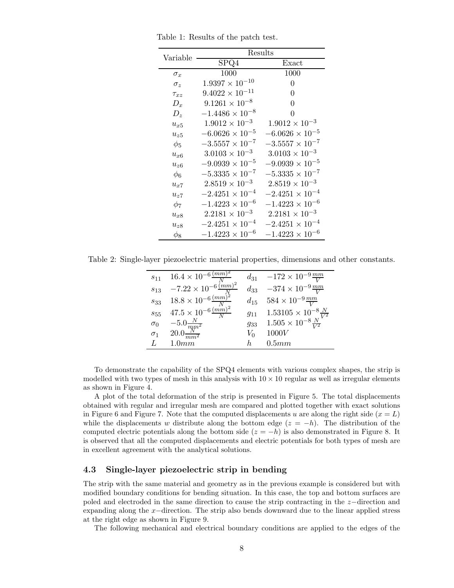| Variable    | Results                  |                          |  |  |  |
|-------------|--------------------------|--------------------------|--|--|--|
|             | SPQ4                     | Exact                    |  |  |  |
| $\sigma_x$  | 1000                     | 1000                     |  |  |  |
| $\sigma_z$  | $1.9397 \times 10^{-10}$ | $\theta$                 |  |  |  |
| $\tau_{xz}$ | $9.4022 \times 10^{-11}$ | 0                        |  |  |  |
| $D_x$       | $9.1261 \times 10^{-8}$  | 0                        |  |  |  |
| $D_z$       | $-1.4486 \times 10^{-8}$ | $\Omega$                 |  |  |  |
| $u_{x5}$    | $1.9012 \times 10^{-3}$  | $1.9012 \times 10^{-3}$  |  |  |  |
| $u_{z5}$    | $-6.0626 \times 10^{-5}$ | $-6.0626 \times 10^{-5}$ |  |  |  |
| $\phi_5$    | $-3.5557 \times 10^{-7}$ | $-3.5557 \times 10^{-7}$ |  |  |  |
| $u_{x6}$    | $3.0103 \times 10^{-3}$  | $3.0103 \times 10^{-3}$  |  |  |  |
| $u_{z6}$    | $-9.0939 \times 10^{-5}$ | $-9.0939 \times 10^{-5}$ |  |  |  |
| $\phi_6$    | $-5.3335 \times 10^{-7}$ | $-5.3335 \times 10^{-7}$ |  |  |  |
| $u_{x7}$    | $2.8519 \times 10^{-3}$  | $2.8519 \times 10^{-3}$  |  |  |  |
| $u_{z7}$    | $-2.4251 \times 10^{-4}$ | $-2.4251 \times 10^{-4}$ |  |  |  |
| $\phi_7$    | $-1.4223 \times 10^{-6}$ | $-1.4223 \times 10^{-6}$ |  |  |  |
| $u_{x8}$    | $2.2181 \times 10^{-3}$  | $2.2181 \times 10^{-3}$  |  |  |  |
| $u_{z8}$    | $-2.4251 \times 10^{-4}$ | $-2.4251 \times 10^{-4}$ |  |  |  |
| $\phi_8$    | $-1.4223 \times 10^{-6}$ | $-1.4223 \times 10^{-6}$ |  |  |  |

Table 1: Results of the patch test.

Table 2: Single-layer piezoelectric material properties, dimensions and other constants.

| $s_{11}$   | $16.4 \times 10^{-6} \frac{(mm)^2}{N}$   |          | $d_{31}$ $-172 \times 10^{-9} \frac{mm}{V}$ |
|------------|------------------------------------------|----------|---------------------------------------------|
| $s_{13}$   | $-7.22 \times 10^{-6} \frac{ (mm)^2}{N}$ | $d_{33}$ | $-374 \times 10^{-9} \frac{mm}{V}$          |
| S33        | $18.8 \times 10^{-6} \frac{(mm)^2}{N}$   | $d_{15}$ | $584 \times 10^{-9} \frac{mm}{V}$           |
| $s_{55}$   | $47.5 \times 10^{-6} \frac{(mm)^2}{N}$   | $g_{11}$ | $1.53105 \times 10^{-8} \frac{N}{V^2}$      |
| $\sigma_0$ | $-5.0 \frac{N}{m^2}$                     | 933      | $1.505 \times 10^{-8} \frac{N}{V^2}$        |
| $\sigma_1$ | $20.0 \frac{N}{mm^2}$                    | $V_0$    | 1000V                                       |
|            | 1.0mm                                    |          | 0.5mm                                       |

To demonstrate the capability of the SPQ4 elements with various complex shapes, the strip is modelled with two types of mesh in this analysis with  $10 \times 10$  regular as well as irregular elements as shown in Figure 4.

A plot of the total deformation of the strip is presented in Figure 5. The total displacements obtained with regular and irregular mesh are compared and plotted together with exact solutions in Figure 6 and Figure 7. Note that the computed displacements u are along the right side  $(x = L)$ while the displacements w distribute along the bottom edge  $(z = -h)$ . The distribution of the computed electric potentials along the bottom side  $(z = -h)$  is also demonstrated in Figure 8. It is observed that all the computed displacements and electric potentials for both types of mesh are in excellent agreement with the analytical solutions.

#### 4.3 Single-layer piezoelectric strip in bending

The strip with the same material and geometry as in the previous example is considered but with modified boundary conditions for bending situation. In this case, the top and bottom surfaces are poled and electroded in the same direction to cause the strip contracting in the z−direction and expanding along the x−direction. The strip also bends downward due to the linear applied stress at the right edge as shown in Figure 9.

The following mechanical and electrical boundary conditions are applied to the edges of the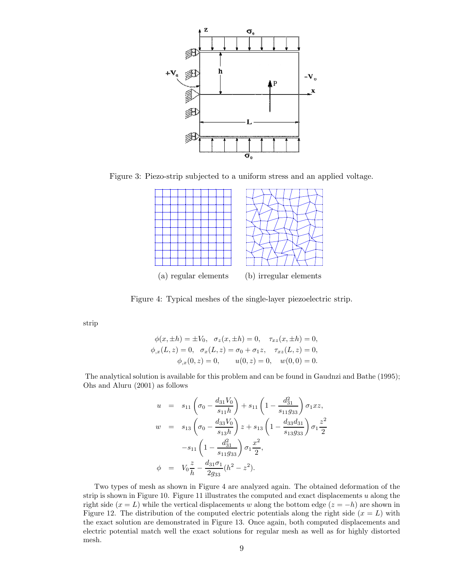

Figure 3: Piezo-strip subjected to a uniform stress and an applied voltage.



Figure 4: Typical meshes of the single-layer piezoelectric strip.

strip

$$
\phi(x, \pm h) = \pm V_0, \quad \sigma_z(x, \pm h) = 0, \quad \tau_{xz}(x, \pm h) = 0,
$$
  

$$
\phi_{,x}(L, z) = 0, \quad \sigma_x(L, z) = \sigma_0 + \sigma_1 z, \quad \tau_{xz}(L, z) = 0,
$$
  

$$
\phi_{,x}(0, z) = 0, \quad u(0, z) = 0, \quad w(0, 0) = 0.
$$

The analytical solution is available for this problem and can be found in Gaudnzi and Bathe (1995); Ohs and Aluru (2001) as follows

$$
u = s_{11}\left(\sigma_0 - \frac{d_{31}V_0}{s_{11}h}\right) + s_{11}\left(1 - \frac{d_{31}^2}{s_{11}g_{33}}\right)\sigma_1 xz,
$$
  
\n
$$
w = s_{13}\left(\sigma_0 - \frac{d_{33}V_0}{s_{13}h}\right)z + s_{13}\left(1 - \frac{d_{33}d_{31}}{s_{13}g_{33}}\right)\sigma_1 \frac{z^2}{2}
$$
  
\n
$$
-s_{11}\left(1 - \frac{d_{31}^2}{s_{11}g_{33}}\right)\sigma_1 \frac{x^2}{2},
$$
  
\n
$$
\phi = V_0 \frac{z}{h} - \frac{d_{31}\sigma_1}{2g_{33}}(h^2 - z^2).
$$

Two types of mesh as shown in Figure 4 are analyzed again. The obtained deformation of the strip is shown in Figure 10. Figure 11 illustrates the computed and exact displacements  $u$  along the right side  $(x = L)$  while the vertical displacements w along the bottom edge  $(z = -h)$  are shown in Figure 12. The distribution of the computed electric potentials along the right side  $(x = L)$  with the exact solution are demonstrated in Figure 13. Once again, both computed displacements and electric potential match well the exact solutions for regular mesh as well as for highly distorted mesh.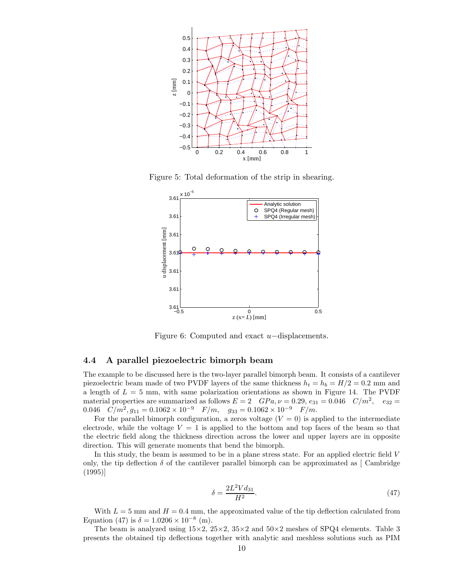

Figure 5: Total deformation of the strip in shearing.



Figure 6: Computed and exact u−displacements.

#### 4.4 A parallel piezoelectric bimorph beam

The example to be discussed here is the two-layer parallel bimorph beam. It consists of a cantilever piezoelectric beam made of two PVDF layers of the same thickness  $h_t = h_b = H/2 = 0.2$  mm and a length of  $L = 5$  mm, with same polarization orientations as shown in Figure 14. The PVDF material properties are summarized as follows  $E = 2$   $GPa, \nu = 0.29, e_{31} = 0.046$   $C/m^2$ ,  $e_{32} =$ 0.046  $C/m^2$ ,  $g_{11} = 0.1062 \times 10^{-9}$   $F/m$ ,  $g_{33} = 0.1062 \times 10^{-9}$   $F/m$ .

For the parallel bimorph configuration, a zeros voltage  $(V = 0)$  is applied to the intermediate electrode, while the voltage  $V = 1$  is applied to the bottom and top faces of the beam so that the electric field along the thickness direction across the lower and upper layers are in opposite direction. This will generate moments that bend the bimorph.

In this study, the beam is assumed to be in a plane stress state. For an applied electric field V only, the tip deflection  $\delta$  of the cantilever parallel bimorph can be approximated as [Cambridge] (1995)]

$$
\delta = \frac{2L^2 V d_{31}}{H^2}.
$$
\n(47)

With  $L = 5$  mm and  $H = 0.4$  mm, the approximated value of the tip deflection calculated from Equation (47) is  $\delta = 1.0206 \times 10^{-8}$  (m).

The beam is analyzed using  $15\times2$ ,  $25\times2$ ,  $35\times2$  and  $50\times2$  meshes of SPQ4 elements. Table 3 presents the obtained tip deflections together with analytic and meshless solutions such as PIM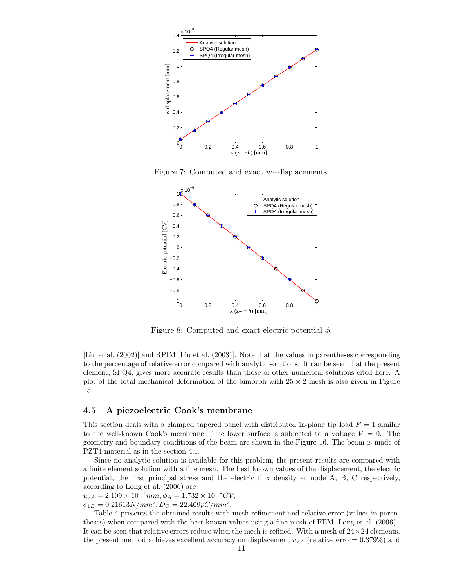

Figure 7: Computed and exact w−displacements.



Figure 8: Computed and exact electric potential  $\phi$ .

[Liu et al. (2002)] and RPIM [Liu et al. (2003)]. Note that the values in parentheses corresponding to the percentage of relative error compared with analytic solutions. It can be seen that the present element, SPQ4, gives more accurate results than those of other numerical solutions cited here. A plot of the total mechanical deformation of the bimorph with  $25 \times 2$  mesh is also given in Figure 15.

#### 4.5 A piezoelectric Cook's membrane

This section deals with a clamped tapered panel with distributed in-plane tip load  $F = 1$  similar to the well-known Cook's membrane. The lower surface is subjected to a voltage  $V = 0$ . The geometry and boundary conditions of the beam are shown in the Figure 16. The beam is made of PZT4 material as in the section 4.1.

Since no analytic solution is available for this problem, the present results are compared with a finite element solution with a fine mesh. The best known values of the displacement, the electric potential, the first principal stress and the electric flux density at node A, B, C respectively, according to Long et al. (2006) are

 $u_{zA} = 2.109 \times 10^{-4} \, \text{mm}, \phi_A = 1.732 \times 10^{-8} \, \text{GV},$  $\sigma_{1B} = 0.21613N/mm^2, D_C = 22.409pC/mm^2.$ 

Table 4 presents the obtained results with mesh refinement and relative error (values in parentheses) when compared with the best known values using a fine mesh of FEM [Long et al. (2006)]. It can be seen that relative errors reduce when the mesh is refined. With a mesh of  $24 \times 24$  elements, the present method achieves excellent accuracy on displacement  $u_{zA}$  (relative error= 0.379%) and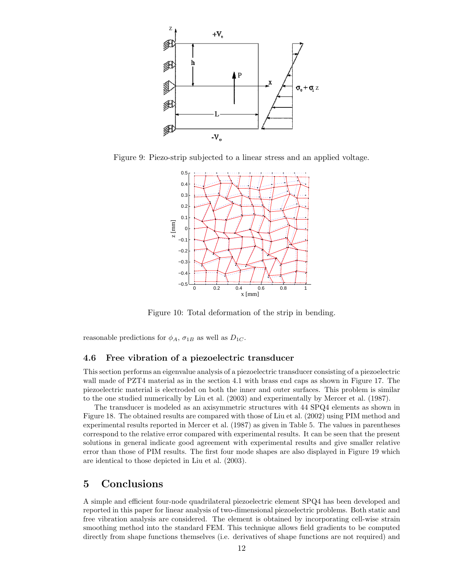

Figure 9: Piezo-strip subjected to a linear stress and an applied voltage.



Figure 10: Total deformation of the strip in bending.

reasonable predictions for  $\phi_A$ ,  $\sigma_{1B}$  as well as  $D_{1C}$ .

#### 4.6 Free vibration of a piezoelectric transducer

This section performs an eigenvalue analysis of a piezoelectric transducer consisting of a piezoelectric wall made of PZT4 material as in the section 4.1 with brass end caps as shown in Figure 17. The piezoelectric material is electroded on both the inner and outer surfaces. This problem is similar to the one studied numerically by Liu et al. (2003) and experimentally by Mercer et al. (1987).

The transducer is modeled as an axisymmetric structures with 44 SPQ4 elements as shown in Figure 18. The obtained results are compared with those of Liu et al. (2002) using PIM method and experimental results reported in Mercer et al. (1987) as given in Table 5. The values in parentheses correspond to the relative error compared with experimental results. It can be seen that the present solutions in general indicate good agreement with experimental results and give smaller relative error than those of PIM results. The first four mode shapes are also displayed in Figure 19 which are identical to those depicted in Liu et al. (2003).

### 5 Conclusions

A simple and efficient four-node quadrilateral piezoelectric element SPQ4 has been developed and reported in this paper for linear analysis of two-dimensional piezoelectric problems. Both static and free vibration analysis are considered. The element is obtained by incorporating cell-wise strain smoothing method into the standard FEM. This technique allows field gradients to be computed directly from shape functions themselves (i.e. derivatives of shape functions are not required) and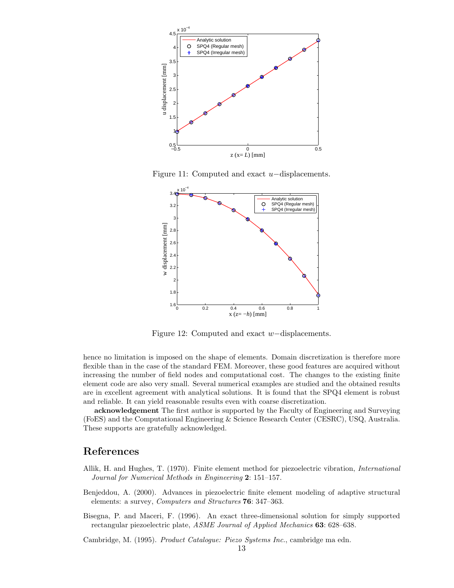

Figure 11: Computed and exact u−displacements.



Figure 12: Computed and exact w−displacements.

hence no limitation is imposed on the shape of elements. Domain discretization is therefore more flexible than in the case of the standard FEM. Moreover, these good features are acquired without increasing the number of field nodes and computational cost. The changes to the existing finite element code are also very small. Several numerical examples are studied and the obtained results are in excellent agreement with analytical solutions. It is found that the SPQ4 element is robust and reliable. It can yield reasonable results even with coarse discretization.

acknowledgement The first author is supported by the Faculty of Engineering and Surveying (FoES) and the Computational Engineering & Science Research Center (CESRC), USQ, Australia. These supports are gratefully acknowledged.

### References

- Allik, H. and Hughes, T. (1970). Finite element method for piezoelectric vibration, International Journal for Numerical Methods in Engineering 2: 151–157.
- Benjeddou, A. (2000). Advances in piezoelectric finite element modeling of adaptive structural elements: a survey, Computers and Structures 76: 347–363.
- Bisegna, P. and Maceri, F. (1996). An exact three-dimensional solution for simply supported rectangular piezoelectric plate, ASME Journal of Applied Mechanics 63: 628–638.

Cambridge, M. (1995). Product Catalogue: Piezo Systems Inc., cambridge ma edn.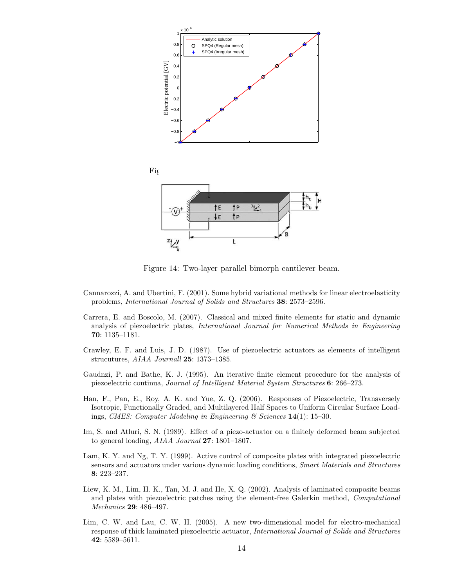





Figure 14: Two-layer parallel bimorph cantilever beam.

- Cannarozzi, A. and Ubertini, F. (2001). Some hybrid variational methods for linear electroelasticity problems, International Journal of Solids and Structures 38: 2573–2596.
- Carrera, E. and Boscolo, M. (2007). Classical and mixed finite elements for static and dynamic analysis of piezoelectric plates, International Journal for Numerical Methods in Engineering 70: 1135–1181.
- Crawley, E. F. and Luis, J. D. (1987). Use of piezoelectric actuators as elements of intelligent strucutures, AIAA Journall 25: 1373–1385.
- Gaudnzi, P. and Bathe, K. J. (1995). An iterative finite element procedure for the analysis of piezoelectric continua, Journal of Intelligent Material System Structures 6: 266–273.
- Han, F., Pan, E., Roy, A. K. and Yue, Z. Q. (2006). Responses of Piezoelectric, Transversely Isotropic, Functionally Graded, and Multilayered Half Spaces to Uniform Circular Surface Loadings, CMES: Computer Modeling in Engineering  $\mathcal C$  Sciences 14(1): 15–30.
- Im, S. and Atluri, S. N. (1989). Effect of a piezo-actuator on a finitely deformed beam subjected to general loading, AIAA Journal 27: 1801–1807.
- Lam, K. Y. and Ng, T. Y. (1999). Active control of composite plates with integrated piezoelectric sensors and actuators under various dynamic loading conditions, *Smart Materials and Structures* 8: 223–237.
- Liew, K. M., Lim, H. K., Tan, M. J. and He, X. Q. (2002). Analysis of laminated composite beams and plates with piezoelectric patches using the element-free Galerkin method, Computational Mechanics 29: 486–497.
- Lim, C. W. and Lau, C. W. H. (2005). A new two-dimensional model for electro-mechanical response of thick laminated piezoelectric actuator, International Journal of Solids and Structures 42: 5589–5611.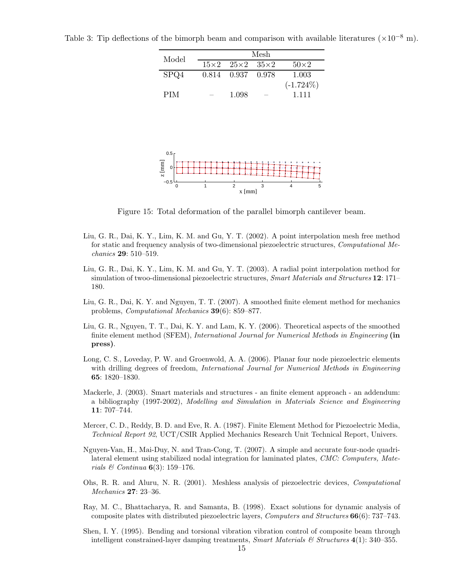Table 3: Tip deflections of the bimorph beam and comparison with available literatures  $(\times 10^{-8} \text{ m})$ .

| Model | Mesh |                                           |  |              |
|-------|------|-------------------------------------------|--|--------------|
|       |      | $15 \times 2$ $25 \times 2$ $35 \times 2$ |  | $50\times2$  |
| SPQ4  |      | 0.814 0.937 0.978                         |  | 1.003        |
|       |      |                                           |  | $(-1.724\%)$ |
| PIM   |      | 1.098                                     |  | 1 1 1 1      |



Figure 15: Total deformation of the parallel bimorph cantilever beam.

- Liu, G. R., Dai, K. Y., Lim, K. M. and Gu, Y. T. (2002). A point interpolation mesh free method for static and frequency analysis of two-dimensional piezoelectric structures, Computational Mechanics 29: 510–519.
- Liu, G. R., Dai, K. Y., Lim, K. M. and Gu, Y. T. (2003). A radial point interpolation method for simulation of twoo-dimensional piezoelectric structures, Smart Materials and Structures 12: 171– 180.
- Liu, G. R., Dai, K. Y. and Nguyen, T. T. (2007). A smoothed finite element method for mechanics problems, Computational Mechanics 39(6): 859–877.
- Liu, G. R., Nguyen, T. T., Dai, K. Y. and Lam, K. Y. (2006). Theoretical aspects of the smoothed finite element method (SFEM), International Journal for Numerical Methods in Engineering (in press).
- Long, C. S., Loveday, P. W. and Groenwold, A. A. (2006). Planar four node piezoelectric elements with drilling degrees of freedom, *International Journal for Numerical Methods in Engineering* 65: 1820–1830.
- Mackerle, J. (2003). Smart materials and structures an finite element approach an addendum: a bibliography (1997-2002), Modelling and Simulation in Materials Science and Engineering 11: 707–744.
- Mercer, C. D., Reddy, B. D. and Eve, R. A. (1987). Finite Element Method for Piezoelectric Media, Technical Report 92, UCT/CSIR Applied Mechanics Research Unit Technical Report, Univers.
- Nguyen-Van, H., Mai-Duy, N. and Tran-Cong, T. (2007). A simple and accurate four-node quadrilateral element using stabilized nodal integration for laminated plates, CMC: Computers, Materials  $\&$  Continua **6**(3): 159–176.
- Ohs, R. R. and Aluru, N. R. (2001). Meshless analysis of piezoelectric devices, Computational Mechanics 27: 23–36.
- Ray, M. C., Bhattacharya, R. and Samanta, B. (1998). Exact solutions for dynamic analysis of composite plates with distributed piezoelectric layers, Computers and Structures 66(6): 737–743.
- Shen, I. Y. (1995). Bending and torsional vibration vibration control of composite beam through intelligent constrained-layer damping treatments, Smart Materials & Structures  $4(1)$ : 340–355.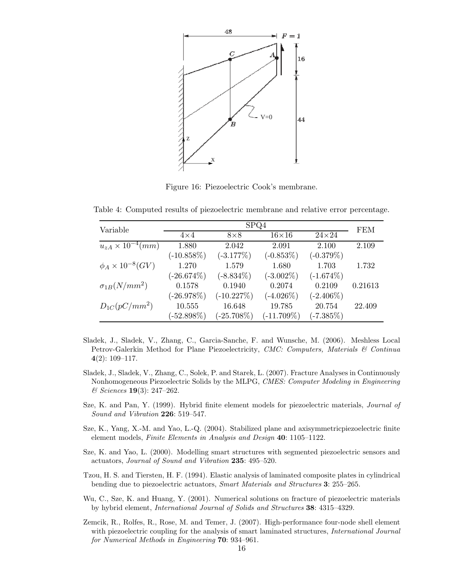

Figure 16: Piezoelectric Cook's membrane.

Table 4: Computed results of piezoelectric membrane and relative error percentage.

| Variable                                 | SPQ4          |               |               |                           | FEM     |
|------------------------------------------|---------------|---------------|---------------|---------------------------|---------|
|                                          | $4\times4$    | $8\times8$    | $16\times16$  | $\overline{24} \times 24$ |         |
| $u_{zA} \times 10^{-4} (m \overline{m})$ | 1.880         | 2.042         | 2.091         | 2.100                     | 2.109   |
|                                          | $(-10.858%)$  | $(-3.177%)$   | $(-0.853\%)$  | $(-0.379%)$               |         |
| $\phi_A \times 10^{-8} (GV)$             | 1.270         | 1.579         | 1.680         | 1.703                     | 1.732   |
|                                          | $(-26.674\%)$ | $(-8.834\%)$  | $(-3.002\%)$  | $(-1.674\%)$              |         |
| $\sigma_{1B}(N/mm^2)$                    | 0.1578        | 0.1940        | 0.2074        | 0.2109                    | 0.21613 |
|                                          | $(-26.978%)$  | $(-10.227%)$  | $(-4.026\%)$  | $(-2.406\%)$              |         |
| $D_{1C}(pC/mm^2)$                        | 10.555        | 16.648        | 19.785        | 20.754                    | 22.409  |
|                                          | $(-52.898\%)$ | $(-25.708\%)$ | $(-11.709\%)$ | $(-7.385%)$               |         |

- Sladek, J., Sladek, V., Zhang, C., Garcia-Sanche, F. and Wunsche, M. (2006). Meshless Local Petrov-Galerkin Method for Plane Piezoelectricity, CMC: Computers, Materials & Continua  $4(2): 109-117.$
- Sladek, J., Sladek, V., Zhang, C., Solek, P. and Starek, L. (2007). Fracture Analyses in Continuously Nonhomogeneous Piezoelectric Solids by the MLPG, CMES: Computer Modeling in Engineering & Sciences 19(3): 247–262.
- Sze, K. and Pan, Y. (1999). Hybrid finite element models for piezoelectric materials, Journal of Sound and Vibration 226: 519–547.
- Sze, K., Yang, X.-M. and Yao, L.-Q. (2004). Stabilized plane and axisymmetricpiezoelectric finite element models, Finite Elements in Analysis and Design 40: 1105–1122.
- Sze, K. and Yao, L. (2000). Modelling smart structures with segmented piezoelectric sensors and actuators, Journal of Sound and Vibration 235: 495–520.
- Tzou, H. S. and Tiersten, H. F. (1994). Elastic analysis of laminated composite plates in cylindrical bending due to piezoelectric actuators, Smart Materials and Structures 3: 255–265.
- Wu, C., Sze, K. and Huang, Y. (2001). Numerical solutions on fracture of piezoelectric materials by hybrid element, International Journal of Solids and Structures 38: 4315–4329.
- Zemcik, R., Rolfes, R., Rose, M. and Temer, J. (2007). High-performance four-node shell element with piezoelectric coupling for the analysis of smart laminated structures, *International Journal* for Numerical Methods in Engineering 70: 934–961.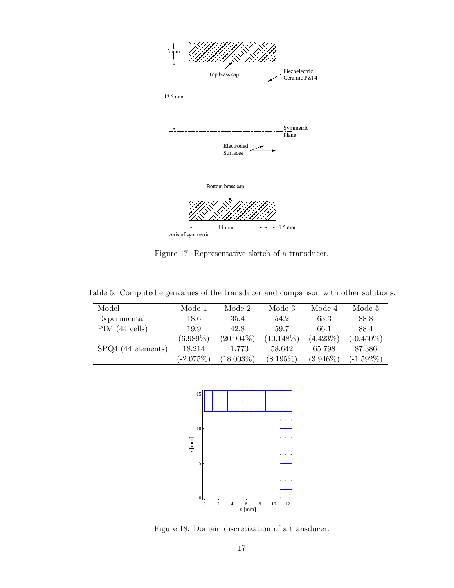

Figure 17: Representative sketch of a transducer.

Table 5: Computed eigenvalues of the transducer and comparison with other solutions.

| Model                | Mode 1       | Mode 2       | Mode 3       | Mode 4      | Mode 5       |
|----------------------|--------------|--------------|--------------|-------------|--------------|
| Experimental         | 18.6         | 35.4         | 54.2         | 63.3        | 88.8         |
| $PIM$ (44 cells)     | 19.9         | 42.8         | 59.7         | 66.1        | 88.4         |
|                      | $(6.989\%)$  | $(20.904\%)$ | $(10.148\%)$ | $(4.423\%)$ | $(-0.450\%)$ |
| $SPQ4$ (44 elements) | 18.214       | 41.773       | 58.642       | 65.798      | 87.386       |
|                      | $(-2.075\%)$ | $(18.003\%)$ | $(8.195\%)$  | $(3.946\%)$ | $(-1.592\%)$ |



Figure 18: Domain discretization of a transducer.